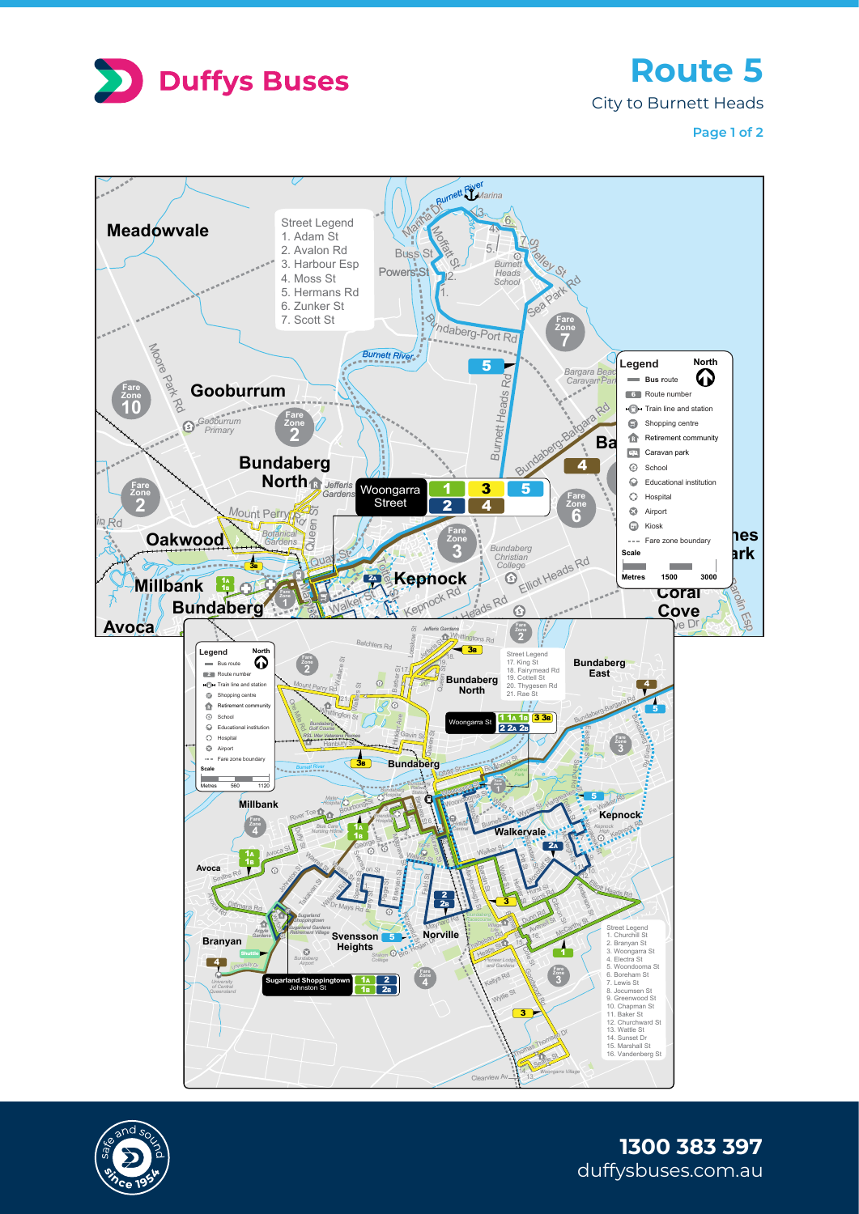

<sup>v</sup>a<sup>n</sup> <sup>D</sup><sup>r</sup>

**Route 5**

City to Burnett Heads

**Page 1 of 2**





duffysbuses.com.au **1300 383 397**